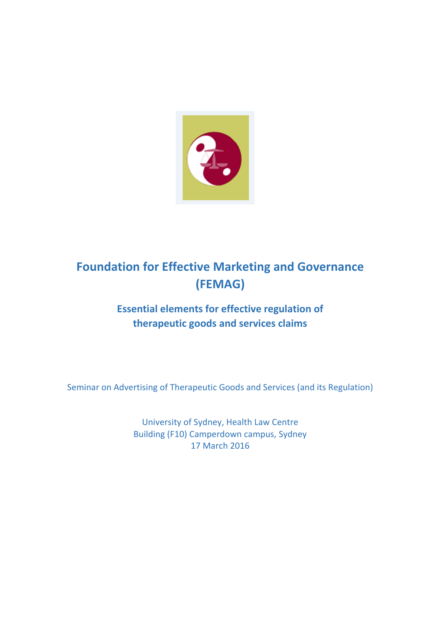

# Foundation for Effective Marketing and Governance (FEMAG)

## Essential elements for effective regulation of therapeutic goods and services claims

Seminar on Advertising of Therapeutic Goods and Services (and its Regulation)

University of Sydney, Health Law Centre Building (F10) Camperdown campus, Sydney 17 March 2016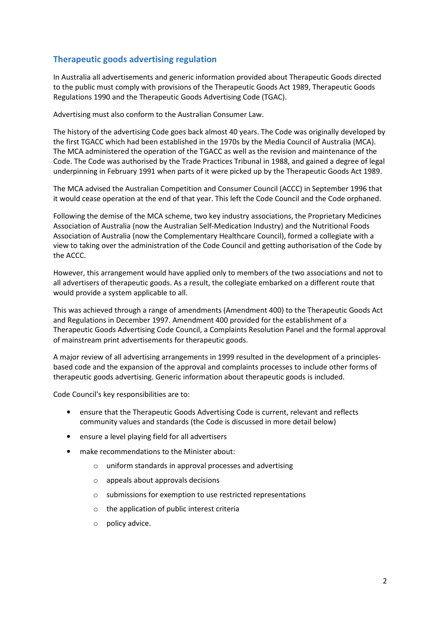## Therapeutic goods advertising regulation

In Australia all advertisements and generic information provided about Therapeutic Goods directed to the public must comply with provisions of the Therapeutic Goods Act 1989, Therapeutic Goods Regulations 1990 and the Therapeutic Goods Advertising Code (TGAC).

Advertising must also conform to the Australian Consumer Law.

The history of the advertising Code goes back almost 40 years. The Code was originally developed by the first TGACC which had been established in the 1970s by the Media Council of Australia (MCA). The MCA administered the operation of the TGACC as well as the revision and maintenance of the Code. The Code was authorised by the Trade Practices Tribunal in 1988, and gained a degree of legal underpinning in February 1991 when parts of it were picked up by the Therapeutic Goods Act 1989.

The MCA advised the Australian Competition and Consumer Council (ACCC) in September 1996 that it would cease operation at the end of that year. This left the Code Council and the Code orphaned.

Following the demise of the MCA scheme, two key industry associations, the Proprietary Medicines Association of Australia (now the Australian Self-Medication Industry) and the Nutritional Foods Association of Australia (now the Complementary Healthcare Council), formed a collegiate with a view to taking over the administration of the Code Council and getting authorisation of the Code by the ACCC.

However, this arrangement would have applied only to members of the two associations and not to all advertisers of therapeutic goods. As a result, the collegiate embarked on a different route that would provide a system applicable to all.

This was achieved through a range of amendments (Amendment 400) to the Therapeutic Goods Act and Regulations in December 1997. Amendment 400 provided for the establishment of a Therapeutic Goods Advertising Code Council, a Complaints Resolution Panel and the formal approval of mainstream print advertisements for therapeutic goods.

A major review of all advertising arrangements in 1999 resulted in the development of a principlesbased code and the expansion of the approval and complaints processes to include other forms of therapeutic goods advertising. Generic information about therapeutic goods is included.

Code Council's key responsibilities are to:

- ensure that the Therapeutic Goods Advertising Code is current, relevant and reflects community values and standards (the Code is discussed in more detail below)
- ensure a level playing field for all advertisers
- make recommendations to the Minister about:
	- o uniform standards in approval processes and advertising
	- o appeals about approvals decisions
	- o submissions for exemption to use restricted representations
	- o the application of public interest criteria
	- o policy advice.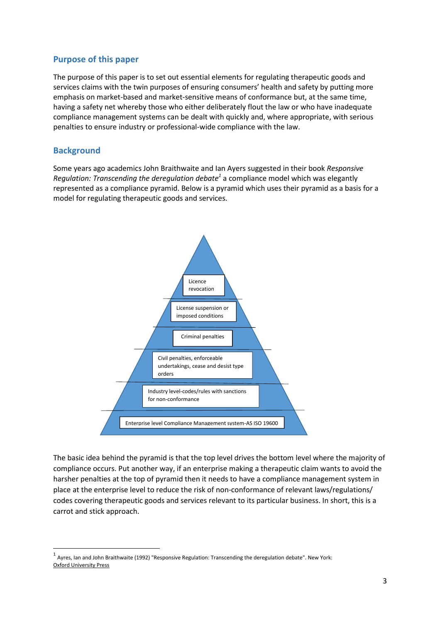## Purpose of this paper

The purpose of this paper is to set out essential elements for regulating therapeutic goods and services claims with the twin purposes of ensuring consumers' health and safety by putting more emphasis on market-based and market-sensitive means of conformance but, at the same time, having a safety net whereby those who either deliberately flout the law or who have inadequate compliance management systems can be dealt with quickly and, where appropriate, with serious penalties to ensure industry or professional-wide compliance with the law.

## **Background**

 $\overline{a}$ 

Some years ago academics John Braithwaite and Ian Ayers suggested in their book Responsive Regulation: Transcending the deregulation debate<sup>1</sup> a compliance model which was elegantly represented as a compliance pyramid. Below is a pyramid which uses their pyramid as a basis for a model for regulating therapeutic goods and services.



The basic idea behind the pyramid is that the top level drives the bottom level where the majority of compliance occurs. Put another way, if an enterprise making a therapeutic claim wants to avoid the harsher penalties at the top of pyramid then it needs to have a compliance management system in place at the enterprise level to reduce the risk of non-conformance of relevant laws/regulations/ codes covering therapeutic goods and services relevant to its particular business. In short, this is a carrot and stick approach.

 $^1$  Ayres, Ian and John Braithwaite (1992) "Responsive Regulation: Transcending the deregulation debate". New York: Oxford University Press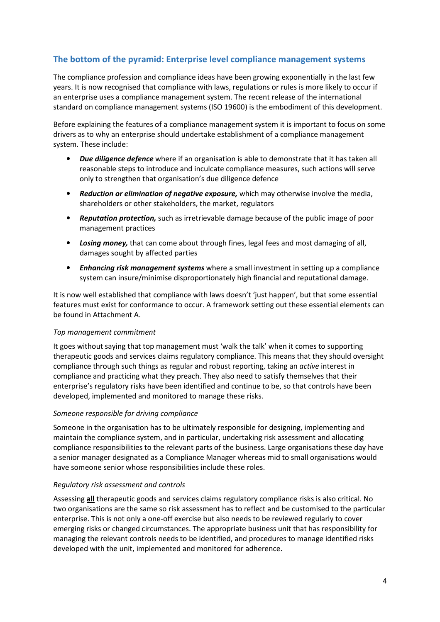## The bottom of the pyramid: Enterprise level compliance management systems

The compliance profession and compliance ideas have been growing exponentially in the last few years. It is now recognised that compliance with laws, regulations or rules is more likely to occur if an enterprise uses a compliance management system. The recent release of the international standard on compliance management systems (ISO 19600) is the embodiment of this development.

Before explaining the features of a compliance management system it is important to focus on some drivers as to why an enterprise should undertake establishment of a compliance management system. These include:

- Due diligence defence where if an organisation is able to demonstrate that it has taken all reasonable steps to introduce and inculcate compliance measures, such actions will serve only to strengthen that organisation's due diligence defence
- Reduction or elimination of negative exposure, which may otherwise involve the media, shareholders or other stakeholders, the market, regulators
- Reputation protection, such as irretrievable damage because of the public image of poor management practices
- Losing money, that can come about through fines, legal fees and most damaging of all, damages sought by affected parties
- Enhancing risk management systems where a small investment in setting up a compliance system can insure/minimise disproportionately high financial and reputational damage.

It is now well established that compliance with laws doesn't 'just happen', but that some essential features must exist for conformance to occur. A framework setting out these essential elements can be found in Attachment A.

#### Top management commitment

It goes without saying that top management must 'walk the talk' when it comes to supporting therapeutic goods and services claims regulatory compliance. This means that they should oversight compliance through such things as regular and robust reporting, taking an *active* interest in compliance and practicing what they preach. They also need to satisfy themselves that their enterprise's regulatory risks have been identified and continue to be, so that controls have been developed, implemented and monitored to manage these risks.

#### Someone responsible for driving compliance

Someone in the organisation has to be ultimately responsible for designing, implementing and maintain the compliance system, and in particular, undertaking risk assessment and allocating compliance responsibilities to the relevant parts of the business. Large organisations these day have a senior manager designated as a Compliance Manager whereas mid to small organisations would have someone senior whose responsibilities include these roles.

#### Regulatory risk assessment and controls

Assessing all therapeutic goods and services claims regulatory compliance risks is also critical. No two organisations are the same so risk assessment has to reflect and be customised to the particular enterprise. This is not only a one-off exercise but also needs to be reviewed regularly to cover emerging risks or changed circumstances. The appropriate business unit that has responsibility for managing the relevant controls needs to be identified, and procedures to manage identified risks developed with the unit, implemented and monitored for adherence.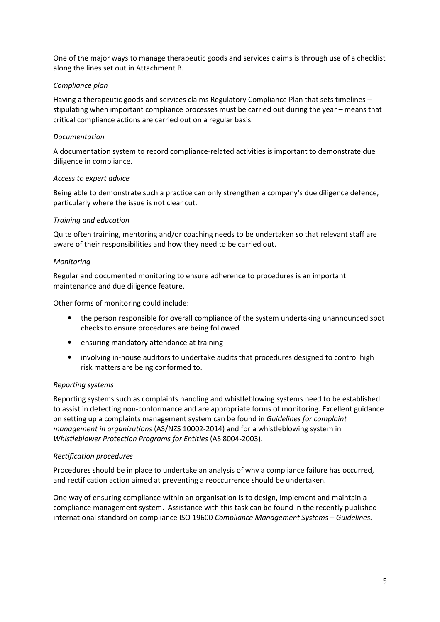One of the major ways to manage therapeutic goods and services claims is through use of a checklist along the lines set out in Attachment B.

## Compliance plan

Having a therapeutic goods and services claims Regulatory Compliance Plan that sets timelines – stipulating when important compliance processes must be carried out during the year – means that critical compliance actions are carried out on a regular basis.

## Documentation

A documentation system to record compliance-related activities is important to demonstrate due diligence in compliance.

#### Access to expert advice

Being able to demonstrate such a practice can only strengthen a company's due diligence defence, particularly where the issue is not clear cut.

## Training and education

Quite often training, mentoring and/or coaching needs to be undertaken so that relevant staff are aware of their responsibilities and how they need to be carried out.

## Monitoring

Regular and documented monitoring to ensure adherence to procedures is an important maintenance and due diligence feature.

Other forms of monitoring could include:

- the person responsible for overall compliance of the system undertaking unannounced spot checks to ensure procedures are being followed
- ensuring mandatory attendance at training
- involving in-house auditors to undertake audits that procedures designed to control high risk matters are being conformed to.

## Reporting systems

Reporting systems such as complaints handling and whistleblowing systems need to be established to assist in detecting non-conformance and are appropriate forms of monitoring. Excellent guidance on setting up a complaints management system can be found in Guidelines for complaint management in organizations (AS/NZS 10002-2014) and for a whistleblowing system in Whistleblower Protection Programs for Entities (AS 8004-2003).

## Rectification procedures

Procedures should be in place to undertake an analysis of why a compliance failure has occurred, and rectification action aimed at preventing a reoccurrence should be undertaken.

One way of ensuring compliance within an organisation is to design, implement and maintain a compliance management system. Assistance with this task can be found in the recently published international standard on compliance ISO 19600 Compliance Management Systems – Guidelines.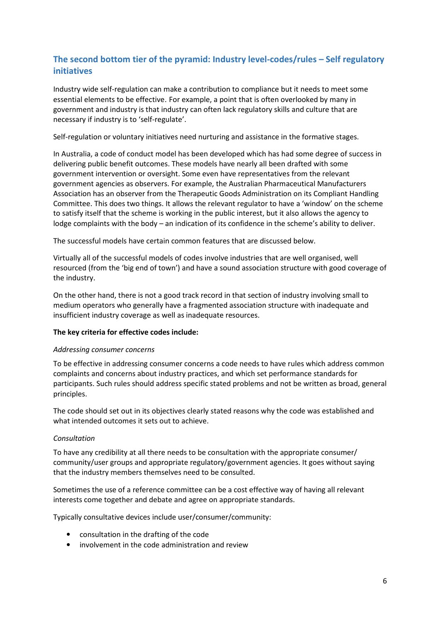## The second bottom tier of the pyramid: Industry level-codes/rules – Self regulatory initiatives

Industry wide self-regulation can make a contribution to compliance but it needs to meet some essential elements to be effective. For example, a point that is often overlooked by many in government and industry is that industry can often lack regulatory skills and culture that are necessary if industry is to 'self-regulate'.

Self-regulation or voluntary initiatives need nurturing and assistance in the formative stages.

In Australia, a code of conduct model has been developed which has had some degree of success in delivering public benefit outcomes. These models have nearly all been drafted with some government intervention or oversight. Some even have representatives from the relevant government agencies as observers. For example, the Australian Pharmaceutical Manufacturers Association has an observer from the Therapeutic Goods Administration on its Compliant Handling Committee. This does two things. It allows the relevant regulator to have a 'window' on the scheme to satisfy itself that the scheme is working in the public interest, but it also allows the agency to lodge complaints with the body – an indication of its confidence in the scheme's ability to deliver.

The successful models have certain common features that are discussed below.

Virtually all of the successful models of codes involve industries that are well organised, well resourced (from the 'big end of town') and have a sound association structure with good coverage of the industry.

On the other hand, there is not a good track record in that section of industry involving small to medium operators who generally have a fragmented association structure with inadequate and insufficient industry coverage as well as inadequate resources.

#### The key criteria for effective codes include:

#### Addressing consumer concerns

To be effective in addressing consumer concerns a code needs to have rules which address common complaints and concerns about industry practices, and which set performance standards for participants. Such rules should address specific stated problems and not be written as broad, general principles.

The code should set out in its objectives clearly stated reasons why the code was established and what intended outcomes it sets out to achieve.

#### Consultation

To have any credibility at all there needs to be consultation with the appropriate consumer/ community/user groups and appropriate regulatory/government agencies. It goes without saying that the industry members themselves need to be consulted.

Sometimes the use of a reference committee can be a cost effective way of having all relevant interests come together and debate and agree on appropriate standards.

Typically consultative devices include user/consumer/community:

- consultation in the drafting of the code
- involvement in the code administration and review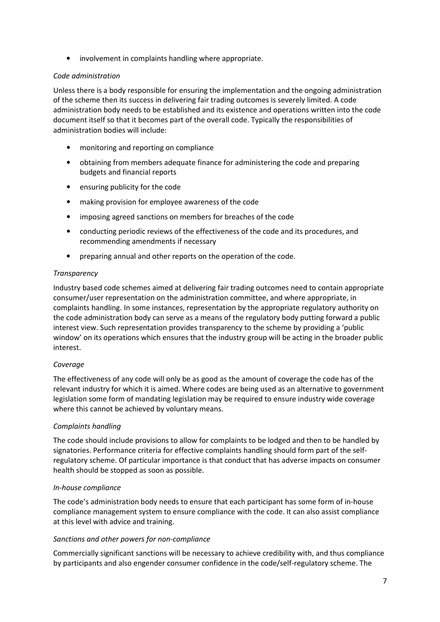• involvement in complaints handling where appropriate.

## Code administration

Unless there is a body responsible for ensuring the implementation and the ongoing administration of the scheme then its success in delivering fair trading outcomes is severely limited. A code administration body needs to be established and its existence and operations written into the code document itself so that it becomes part of the overall code. Typically the responsibilities of administration bodies will include:

- monitoring and reporting on compliance
- obtaining from members adequate finance for administering the code and preparing budgets and financial reports
- ensuring publicity for the code
- making provision for employee awareness of the code
- imposing agreed sanctions on members for breaches of the code
- conducting periodic reviews of the effectiveness of the code and its procedures, and recommending amendments if necessary
- preparing annual and other reports on the operation of the code.

## **Transparency**

Industry based code schemes aimed at delivering fair trading outcomes need to contain appropriate consumer/user representation on the administration committee, and where appropriate, in complaints handling. In some instances, representation by the appropriate regulatory authority on the code administration body can serve as a means of the regulatory body putting forward a public interest view. Such representation provides transparency to the scheme by providing a 'public window' on its operations which ensures that the industry group will be acting in the broader public interest.

## Coverage

The effectiveness of any code will only be as good as the amount of coverage the code has of the relevant industry for which it is aimed. Where codes are being used as an alternative to government legislation some form of mandating legislation may be required to ensure industry wide coverage where this cannot be achieved by voluntary means.

## Complaints handling

The code should include provisions to allow for complaints to be lodged and then to be handled by signatories. Performance criteria for effective complaints handling should form part of the selfregulatory scheme. Of particular importance is that conduct that has adverse impacts on consumer health should be stopped as soon as possible.

## In-house compliance

The code's administration body needs to ensure that each participant has some form of in-house compliance management system to ensure compliance with the code. It can also assist compliance at this level with advice and training.

## Sanctions and other powers for non-compliance

Commercially significant sanctions will be necessary to achieve credibility with, and thus compliance by participants and also engender consumer confidence in the code/self-regulatory scheme. The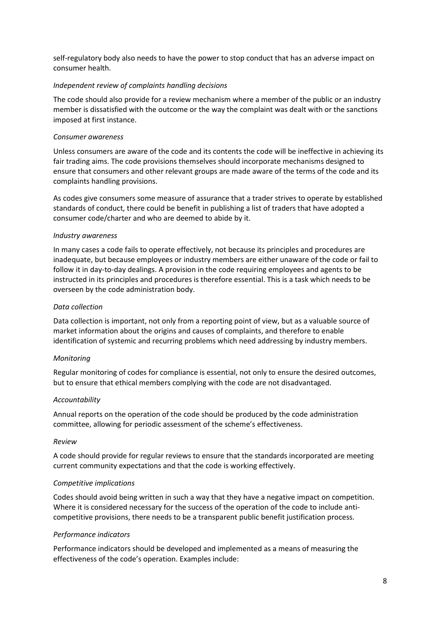self-regulatory body also needs to have the power to stop conduct that has an adverse impact on consumer health.

#### Independent review of complaints handling decisions

The code should also provide for a review mechanism where a member of the public or an industry member is dissatisfied with the outcome or the way the complaint was dealt with or the sanctions imposed at first instance.

#### Consumer awareness

Unless consumers are aware of the code and its contents the code will be ineffective in achieving its fair trading aims. The code provisions themselves should incorporate mechanisms designed to ensure that consumers and other relevant groups are made aware of the terms of the code and its complaints handling provisions.

As codes give consumers some measure of assurance that a trader strives to operate by established standards of conduct, there could be benefit in publishing a list of traders that have adopted a consumer code/charter and who are deemed to abide by it.

## Industry awareness

In many cases a code fails to operate effectively, not because its principles and procedures are inadequate, but because employees or industry members are either unaware of the code or fail to follow it in day-to-day dealings. A provision in the code requiring employees and agents to be instructed in its principles and procedures is therefore essential. This is a task which needs to be overseen by the code administration body.

#### Data collection

Data collection is important, not only from a reporting point of view, but as a valuable source of market information about the origins and causes of complaints, and therefore to enable identification of systemic and recurring problems which need addressing by industry members.

## **Monitoring**

Regular monitoring of codes for compliance is essential, not only to ensure the desired outcomes, but to ensure that ethical members complying with the code are not disadvantaged.

#### Accountability

Annual reports on the operation of the code should be produced by the code administration committee, allowing for periodic assessment of the scheme's effectiveness.

#### Review

A code should provide for regular reviews to ensure that the standards incorporated are meeting current community expectations and that the code is working effectively.

## Competitive implications

Codes should avoid being written in such a way that they have a negative impact on competition. Where it is considered necessary for the success of the operation of the code to include anticompetitive provisions, there needs to be a transparent public benefit justification process.

#### Performance indicators

Performance indicators should be developed and implemented as a means of measuring the effectiveness of the code's operation. Examples include: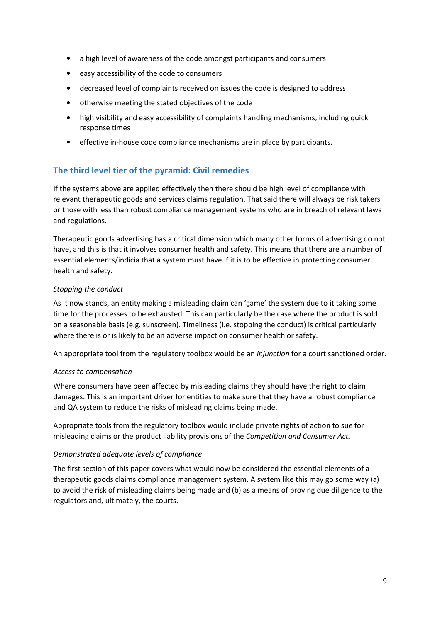- a high level of awareness of the code amongst participants and consumers
- easy accessibility of the code to consumers
- decreased level of complaints received on issues the code is designed to address
- otherwise meeting the stated objectives of the code
- high visibility and easy accessibility of complaints handling mechanisms, including quick response times
- effective in-house code compliance mechanisms are in place by participants.

## The third level tier of the pyramid: Civil remedies

If the systems above are applied effectively then there should be high level of compliance with relevant therapeutic goods and services claims regulation. That said there will always be risk takers or those with less than robust compliance management systems who are in breach of relevant laws and regulations.

Therapeutic goods advertising has a critical dimension which many other forms of advertising do not have, and this is that it involves consumer health and safety. This means that there are a number of essential elements/indicia that a system must have if it is to be effective in protecting consumer health and safety.

## Stopping the conduct

As it now stands, an entity making a misleading claim can 'game' the system due to it taking some time for the processes to be exhausted. This can particularly be the case where the product is sold on a seasonable basis (e.g. sunscreen). Timeliness (i.e. stopping the conduct) is critical particularly where there is or is likely to be an adverse impact on consumer health or safety.

An appropriate tool from the regulatory toolbox would be an *injunction* for a court sanctioned order.

#### Access to compensation

Where consumers have been affected by misleading claims they should have the right to claim damages. This is an important driver for entities to make sure that they have a robust compliance and QA system to reduce the risks of misleading claims being made.

Appropriate tools from the regulatory toolbox would include private rights of action to sue for misleading claims or the product liability provisions of the Competition and Consumer Act.

#### Demonstrated adequate levels of compliance

The first section of this paper covers what would now be considered the essential elements of a therapeutic goods claims compliance management system. A system like this may go some way (a) to avoid the risk of misleading claims being made and (b) as a means of proving due diligence to the regulators and, ultimately, the courts.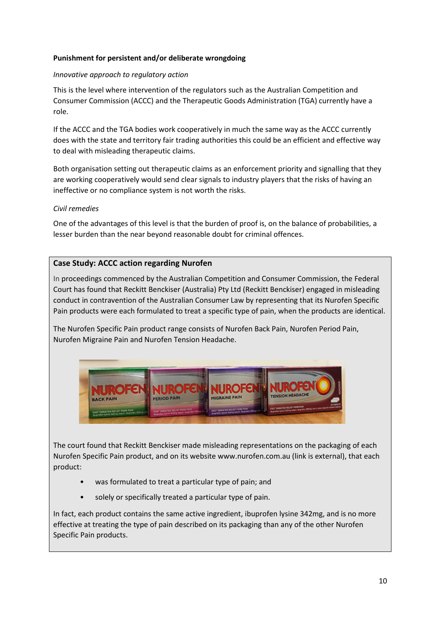## Punishment for persistent and/or deliberate wrongdoing

## Innovative approach to regulatory action

This is the level where intervention of the regulators such as the Australian Competition and Consumer Commission (ACCC) and the Therapeutic Goods Administration (TGA) currently have a role.

If the ACCC and the TGA bodies work cooperatively in much the same way as the ACCC currently does with the state and territory fair trading authorities this could be an efficient and effective way to deal with misleading therapeutic claims.

Both organisation setting out therapeutic claims as an enforcement priority and signalling that they are working cooperatively would send clear signals to industry players that the risks of having an ineffective or no compliance system is not worth the risks.

## Civil remedies

One of the advantages of this level is that the burden of proof is, on the balance of probabilities, a lesser burden than the near beyond reasonable doubt for criminal offences.

## Case Study: ACCC action regarding Nurofen

In proceedings commenced by the Australian Competition and Consumer Commission, the Federal Court has found that Reckitt Benckiser (Australia) Pty Ltd (Reckitt Benckiser) engaged in misleading conduct in contravention of the Australian Consumer Law by representing that its Nurofen Specific Pain products were each formulated to treat a specific type of pain, when the products are identical.

The Nurofen Specific Pain product range consists of Nurofen Back Pain, Nurofen Period Pain, Nurofen Migraine Pain and Nurofen Tension Headache.



The court found that Reckitt Benckiser made misleading representations on the packaging of each Nurofen Specific Pain product, and on its website www.nurofen.com.au (link is external), that each product:

- was formulated to treat a particular type of pain; and
- solely or specifically treated a particular type of pain.

In fact, each product contains the same active ingredient, ibuprofen lysine 342mg, and is no more effective at treating the type of pain described on its packaging than any of the other Nurofen Specific Pain products.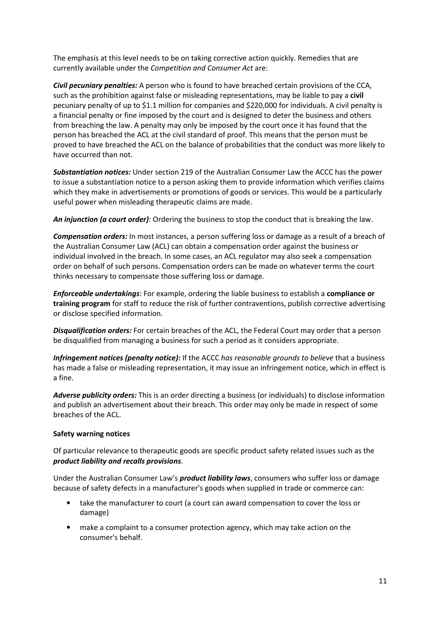The emphasis at this level needs to be on taking corrective action quickly. Remedies that are currently available under the Competition and Consumer Act are:

Civil pecuniary penalties: A person who is found to have breached certain provisions of the CCA, such as the prohibition against false or misleading representations, may be liable to pay a civil pecuniary penalty of up to \$1.1 million for companies and \$220,000 for individuals. A civil penalty is a financial penalty or fine imposed by the court and is designed to deter the business and others from breaching the law. A penalty may only be imposed by the court once it has found that the person has breached the ACL at the civil standard of proof. This means that the person must be proved to have breached the ACL on the balance of probabilities that the conduct was more likely to have occurred than not.

Substantiation notices: Under section 219 of the Australian Consumer Law the ACCC has the power to issue a substantiation notice to a person asking them to provide information which verifies claims which they make in advertisements or promotions of goods or services. This would be a particularly useful power when misleading therapeutic claims are made.

An injunction (a court order): Ordering the business to stop the conduct that is breaking the law.

**Compensation orders:** In most instances, a person suffering loss or damage as a result of a breach of the Australian Consumer Law (ACL) can obtain a compensation order against the business or individual involved in the breach. In some cases, an ACL regulator may also seek a compensation order on behalf of such persons. Compensation orders can be made on whatever terms the court thinks necessary to compensate those suffering loss or damage.

**Enforceable undertakings:** For example, ordering the liable business to establish a **compliance or** training program for staff to reduce the risk of further contraventions, publish corrective advertising or disclose specified information.

**Disqualification orders:** For certain breaches of the ACL, the Federal Court may order that a person be disqualified from managing a business for such a period as it considers appropriate.

Infringement notices (penalty notice): If the ACCC has reasonable grounds to believe that a business has made a false or misleading representation, it may issue an infringement notice, which in effect is a fine.

Adverse publicity orders: This is an order directing a business (or individuals) to disclose information and publish an advertisement about their breach. This order may only be made in respect of some breaches of the ACL.

## Safety warning notices

Of particular relevance to therapeutic goods are specific product safety related issues such as the product liability and recalls provisions.

Under the Australian Consumer Law's **product liability laws**, consumers who suffer loss or damage because of safety defects in a manufacturer's goods when supplied in trade or commerce can:

- take the manufacturer to court (a court can award compensation to cover the loss or damage)
- make a complaint to a consumer protection agency, which may take action on the consumer's behalf.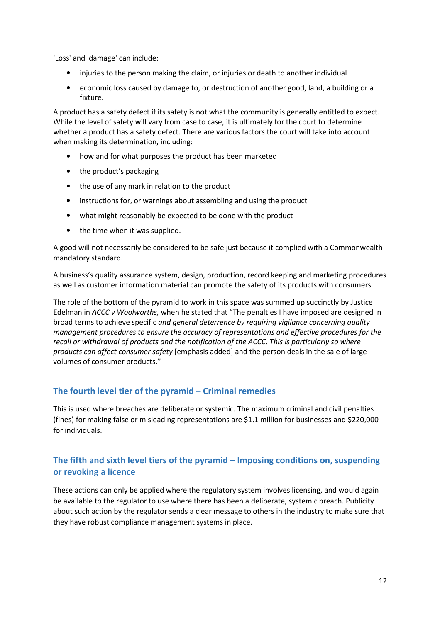'Loss' and 'damage' can include:

- injuries to the person making the claim, or injuries or death to another individual
- economic loss caused by damage to, or destruction of another good, land, a building or a fixture.

A product has a safety defect if its safety is not what the community is generally entitled to expect. While the level of safety will vary from case to case, it is ultimately for the court to determine whether a product has a safety defect. There are various factors the court will take into account when making its determination, including:

- how and for what purposes the product has been marketed
- the product's packaging
- the use of any mark in relation to the product
- instructions for, or warnings about assembling and using the product
- what might reasonably be expected to be done with the product
- the time when it was supplied.

A good will not necessarily be considered to be safe just because it complied with a Commonwealth mandatory standard.

A business's quality assurance system, design, production, record keeping and marketing procedures as well as customer information material can promote the safety of its products with consumers.

The role of the bottom of the pyramid to work in this space was summed up succinctly by Justice Edelman in ACCC v Woolworths, when he stated that "The penalties I have imposed are designed in broad terms to achieve specific and general deterrence by requiring vigilance concerning quality management procedures to ensure the accuracy of representations and effective procedures for the recall or withdrawal of products and the notification of the ACCC. This is particularly so where products can affect consumer safety [emphasis added] and the person deals in the sale of large volumes of consumer products."

## The fourth level tier of the pyramid – Criminal remedies

This is used where breaches are deliberate or systemic. The maximum criminal and civil penalties (fines) for making false or misleading representations are \$1.1 million for businesses and \$220,000 for individuals.

## The fifth and sixth level tiers of the pyramid – Imposing conditions on, suspending or revoking a licence

These actions can only be applied where the regulatory system involves licensing, and would again be available to the regulator to use where there has been a deliberate, systemic breach. Publicity about such action by the regulator sends a clear message to others in the industry to make sure that they have robust compliance management systems in place.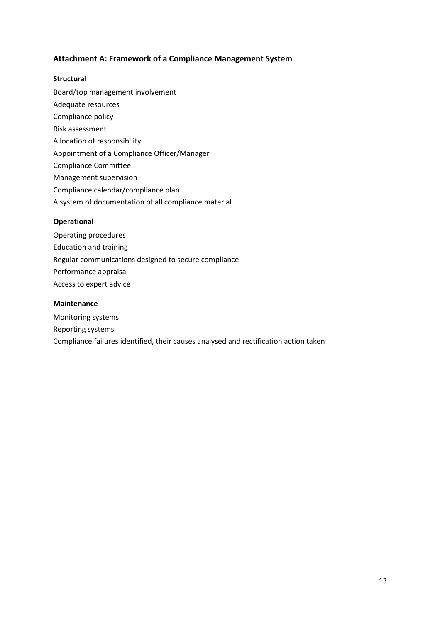## Attachment A: Framework of a Compliance Management System

#### **Structural**

Board/top management involvement Adequate resources Compliance policy Risk assessment Allocation of responsibility Appointment of a Compliance Officer/Manager Compliance Committee Management supervision Compliance calendar/compliance plan A system of documentation of all compliance material

## Operational

- Operating procedures
- Education and training
- Regular communications designed to secure compliance
- Performance appraisal
- Access to expert advice

#### Maintenance

Monitoring systems Reporting systems Compliance failures identified, their causes analysed and rectification action taken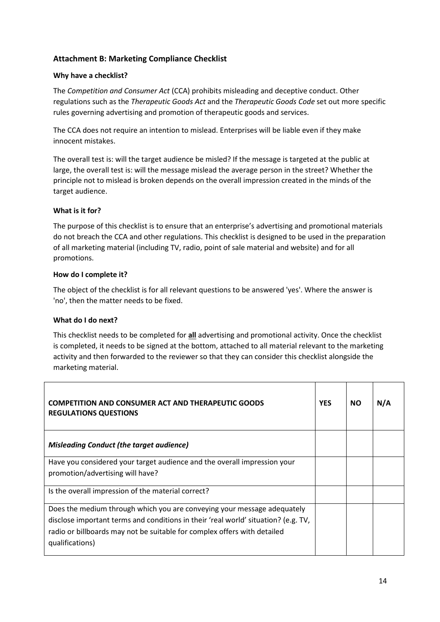## Attachment B: Marketing Compliance Checklist

## Why have a checklist?

The Competition and Consumer Act (CCA) prohibits misleading and deceptive conduct. Other regulations such as the Therapeutic Goods Act and the Therapeutic Goods Code set out more specific rules governing advertising and promotion of therapeutic goods and services.

The CCA does not require an intention to mislead. Enterprises will be liable even if they make innocent mistakes.

The overall test is: will the target audience be misled? If the message is targeted at the public at large, the overall test is: will the message mislead the average person in the street? Whether the principle not to mislead is broken depends on the overall impression created in the minds of the target audience.

## What is it for?

The purpose of this checklist is to ensure that an enterprise's advertising and promotional materials do not breach the CCA and other regulations. This checklist is designed to be used in the preparation of all marketing material (including TV, radio, point of sale material and website) and for all promotions.

## How do I complete it?

The object of the checklist is for all relevant questions to be answered 'yes'. Where the answer is 'no', then the matter needs to be fixed.

#### What do I do next?

This checklist needs to be completed for all advertising and promotional activity. Once the checklist is completed, it needs to be signed at the bottom, attached to all material relevant to the marketing activity and then forwarded to the reviewer so that they can consider this checklist alongside the marketing material.

| <b>COMPETITION AND CONSUMER ACT AND THERAPEUTIC GOODS</b><br><b>REGULATIONS QUESTIONS</b>                                                                                                                                                                    | <b>YES</b> | <b>NO</b> | N/A |
|--------------------------------------------------------------------------------------------------------------------------------------------------------------------------------------------------------------------------------------------------------------|------------|-----------|-----|
| <b>Misleading Conduct (the target audience)</b>                                                                                                                                                                                                              |            |           |     |
| Have you considered your target audience and the overall impression your<br>promotion/advertising will have?                                                                                                                                                 |            |           |     |
| Is the overall impression of the material correct?                                                                                                                                                                                                           |            |           |     |
| Does the medium through which you are conveying your message adequately<br>disclose important terms and conditions in their 'real world' situation? (e.g. TV,<br>radio or billboards may not be suitable for complex offers with detailed<br>qualifications) |            |           |     |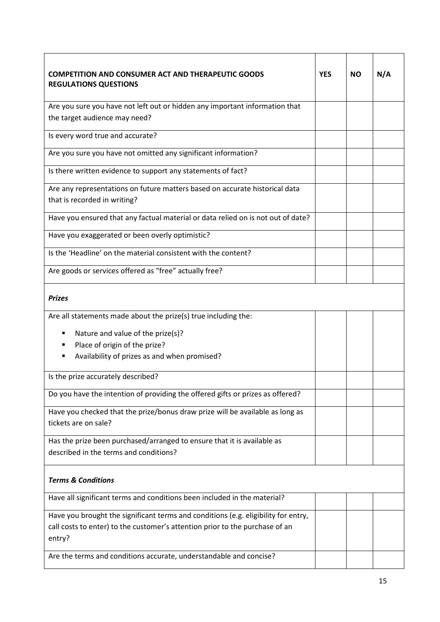| <b>COMPETITION AND CONSUMER ACT AND THERAPEUTIC GOODS</b><br><b>REGULATIONS QUESTIONS</b> |  | <b>NO</b> | N/A |  |  |
|-------------------------------------------------------------------------------------------|--|-----------|-----|--|--|
| Are you sure you have not left out or hidden any important information that               |  |           |     |  |  |
| the target audience may need?                                                             |  |           |     |  |  |
| Is every word true and accurate?                                                          |  |           |     |  |  |
| Are you sure you have not omitted any significant information?                            |  |           |     |  |  |
| Is there written evidence to support any statements of fact?                              |  |           |     |  |  |
| Are any representations on future matters based on accurate historical data               |  |           |     |  |  |
| that is recorded in writing?                                                              |  |           |     |  |  |
| Have you ensured that any factual material or data relied on is not out of date?          |  |           |     |  |  |
| Have you exaggerated or been overly optimistic?                                           |  |           |     |  |  |
| Is the 'Headline' on the material consistent with the content?                            |  |           |     |  |  |
| Are goods or services offered as "free" actually free?                                    |  |           |     |  |  |
| <b>Prizes</b>                                                                             |  |           |     |  |  |
| Are all statements made about the prize(s) true including the:                            |  |           |     |  |  |
| Nature and value of the prize(s)?<br>٠                                                    |  |           |     |  |  |
| Place of origin of the prize?                                                             |  |           |     |  |  |
| Availability of prizes as and when promised?<br>٠                                         |  |           |     |  |  |
| Is the prize accurately described?                                                        |  |           |     |  |  |
| Do you have the intention of providing the offered gifts or prizes as offered?            |  |           |     |  |  |
| Have you checked that the prize/bonus draw prize will be available as long as             |  |           |     |  |  |
| tickets are on sale?                                                                      |  |           |     |  |  |
| Has the prize been purchased/arranged to ensure that it is available as                   |  |           |     |  |  |
| described in the terms and conditions?                                                    |  |           |     |  |  |
| <b>Terms &amp; Conditions</b>                                                             |  |           |     |  |  |
| Have all significant terms and conditions been included in the material?                  |  |           |     |  |  |
| Have you brought the significant terms and conditions (e.g. eligibility for entry,        |  |           |     |  |  |
| call costs to enter) to the customer's attention prior to the purchase of an<br>entry?    |  |           |     |  |  |
| Are the terms and conditions accurate, understandable and concise?                        |  |           |     |  |  |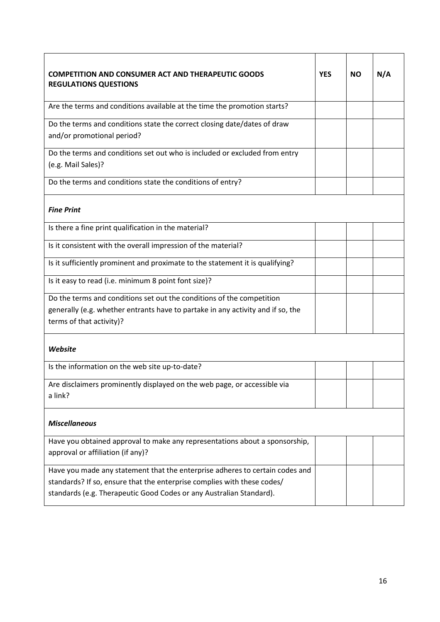| <b>COMPETITION AND CONSUMER ACT AND THERAPEUTIC GOODS</b><br><b>REGULATIONS QUESTIONS</b>                                                                                                                                      |  | <b>NO</b> | N/A |  |
|--------------------------------------------------------------------------------------------------------------------------------------------------------------------------------------------------------------------------------|--|-----------|-----|--|
| Are the terms and conditions available at the time the promotion starts?                                                                                                                                                       |  |           |     |  |
| Do the terms and conditions state the correct closing date/dates of draw<br>and/or promotional period?                                                                                                                         |  |           |     |  |
| Do the terms and conditions set out who is included or excluded from entry<br>(e.g. Mail Sales)?                                                                                                                               |  |           |     |  |
| Do the terms and conditions state the conditions of entry?                                                                                                                                                                     |  |           |     |  |
| <b>Fine Print</b>                                                                                                                                                                                                              |  |           |     |  |
| Is there a fine print qualification in the material?                                                                                                                                                                           |  |           |     |  |
| Is it consistent with the overall impression of the material?                                                                                                                                                                  |  |           |     |  |
| Is it sufficiently prominent and proximate to the statement it is qualifying?                                                                                                                                                  |  |           |     |  |
| Is it easy to read (i.e. minimum 8 point font size)?                                                                                                                                                                           |  |           |     |  |
| Do the terms and conditions set out the conditions of the competition<br>generally (e.g. whether entrants have to partake in any activity and if so, the<br>terms of that activity)?                                           |  |           |     |  |
| Website                                                                                                                                                                                                                        |  |           |     |  |
| Is the information on the web site up-to-date?                                                                                                                                                                                 |  |           |     |  |
| Are disclaimers prominently displayed on the web page, or accessible via<br>a link?                                                                                                                                            |  |           |     |  |
| <b>Miscellaneous</b>                                                                                                                                                                                                           |  |           |     |  |
| Have you obtained approval to make any representations about a sponsorship,<br>approval or affiliation (if any)?                                                                                                               |  |           |     |  |
| Have you made any statement that the enterprise adheres to certain codes and<br>standards? If so, ensure that the enterprise complies with these codes/<br>standards (e.g. Therapeutic Good Codes or any Australian Standard). |  |           |     |  |